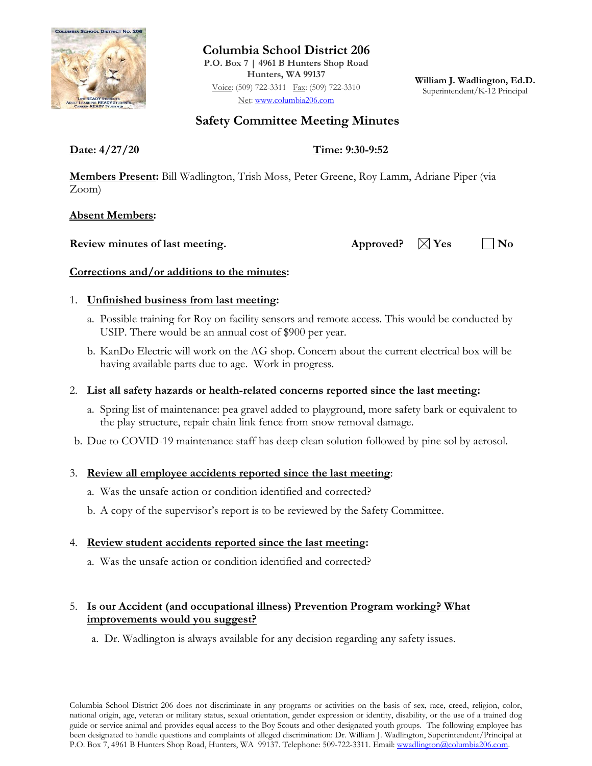

**Columbia School District 206 P.O. Box 7 | 4961 B Hunters Shop Road Hunters, WA 99137** Voice: (509) 722-3311 Fax: (509) 722-3310 Net: [www.columbia206.com](http://www.columbia206.com/)

**William J. Wadlington, Ed.D.** Superintendent/K-12 Principal

# **Safety Committee Meeting Minutes**

**Date: 4/27/20 Time: 9:30-9:52**

**Members Present:** Bill Wadlington, Trish Moss, Peter Greene, Roy Lamm, Adriane Piper (via Zoom)

**Absent Members:**

**Review minutes of last meeting.** Approved?  $\boxtimes$  Yes  $\Box$  No

# **Corrections and/or additions to the minutes:**

# 1. **Unfinished business from last meeting:**

- a. Possible training for Roy on facility sensors and remote access. This would be conducted by USIP. There would be an annual cost of \$900 per year.
- b. KanDo Electric will work on the AG shop. Concern about the current electrical box will be having available parts due to age. Work in progress.

# 2. **List all safety hazards or health-related concerns reported since the last meeting:**

- a. Spring list of maintenance: pea gravel added to playground, more safety bark or equivalent to the play structure, repair chain link fence from snow removal damage.
- b. Due to COVID-19 maintenance staff has deep clean solution followed by pine sol by aerosol.

### 3. **Review all employee accidents reported since the last meeting**:

- a. Was the unsafe action or condition identified and corrected?
- b. A copy of the supervisor's report is to be reviewed by the Safety Committee.

### 4. **Review student accidents reported since the last meeting:**

a. Was the unsafe action or condition identified and corrected?

# 5. **Is our Accident (and occupational illness) Prevention Program working? What improvements would you suggest?**

a. Dr. Wadlington is always available for any decision regarding any safety issues.